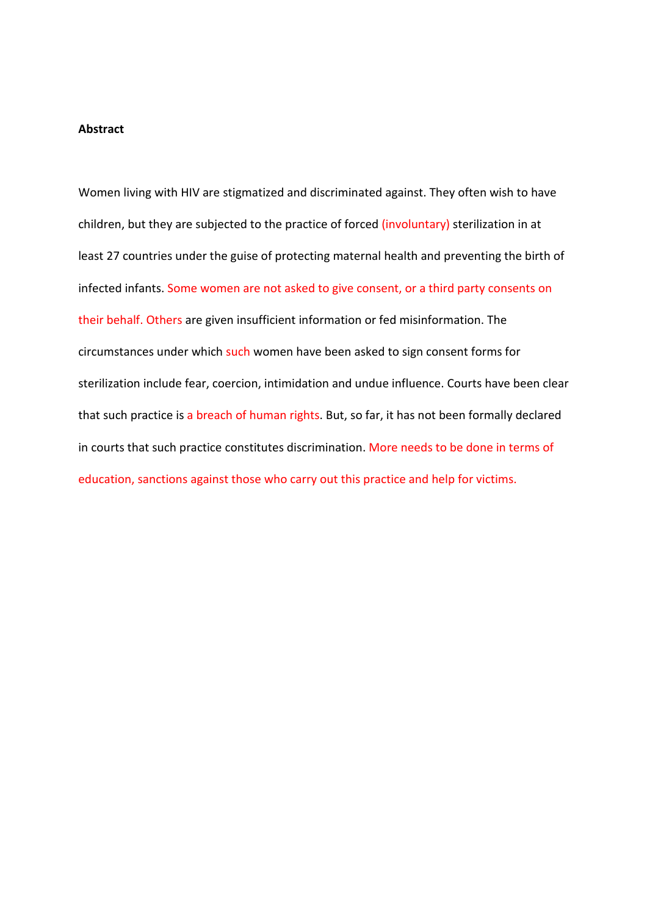#### **Abstract**

Women living with HIV are stigmatized and discriminated against. They often wish to have children, but they are subjected to the practice of forced (involuntary) sterilization in at least 27 countries under the guise of protecting maternal health and preventing the birth of infected infants. Some women are not asked to give consent, or a third party consents on their behalf. Others are given insufficient information or fed misinformation. The circumstances under which such women have been asked to sign consent forms for sterilization include fear, coercion, intimidation and undue influence. Courts have been clear that such practice is a breach of human rights. But, so far, it has not been formally declared in courts that such practice constitutes discrimination. More needs to be done in terms of education, sanctions against those who carry out this practice and help for victims.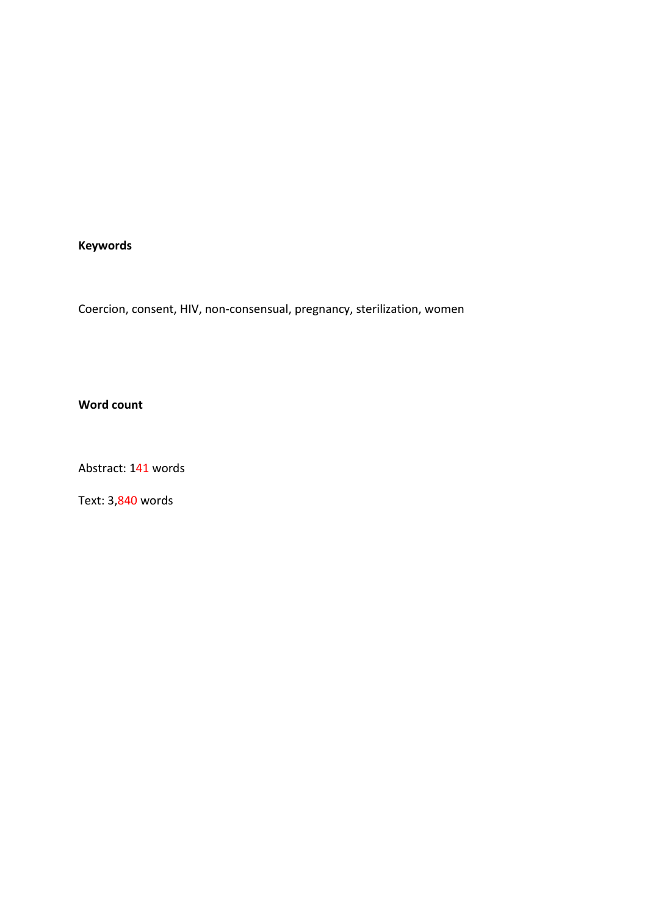# **Keywords**

Coercion, consent, HIV, non-consensual, pregnancy, sterilization, women

## **Word count**

Abstract: 141 words

Text: 3,840 words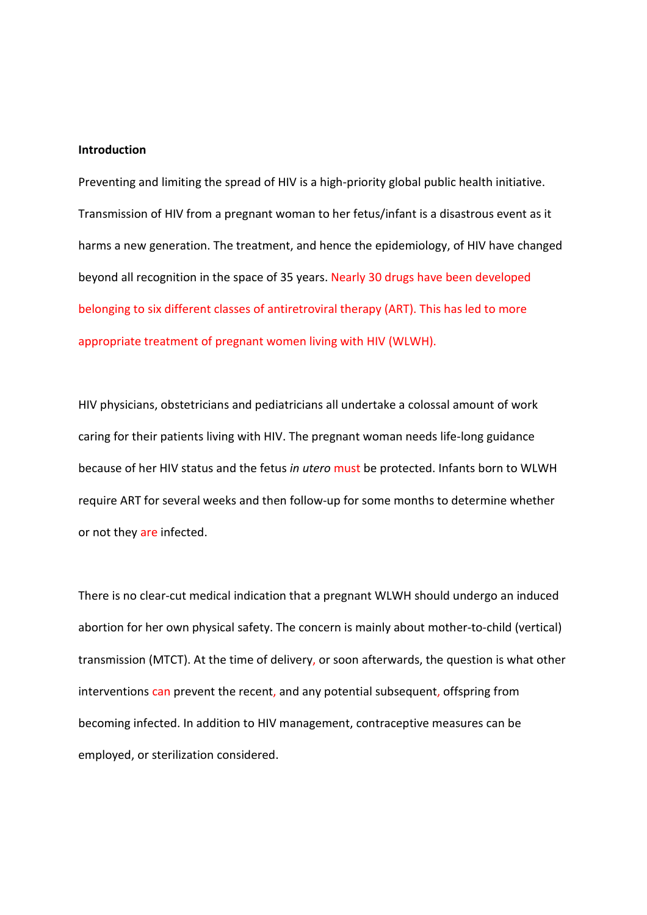#### **Introduction**

Preventing and limiting the spread of HIV is a high-priority global public health initiative. Transmission of HIV from a pregnant woman to her fetus/infant is a disastrous event as it harms a new generation. The treatment, and hence the epidemiology, of HIV have changed beyond all recognition in the space of 35 years. Nearly 30 drugs have been developed belonging to six different classes of antiretroviral therapy (ART). This has led to more appropriate treatment of pregnant women living with HIV (WLWH).

HIV physicians, obstetricians and pediatricians all undertake a colossal amount of work caring for their patients living with HIV. The pregnant woman needs life-long guidance because of her HIV status and the fetus *in utero* must be protected. Infants born to WLWH require ART for several weeks and then follow-up for some months to determine whether or not they are infected.

There is no clear-cut medical indication that a pregnant WLWH should undergo an induced abortion for her own physical safety. The concern is mainly about mother-to-child (vertical) transmission (MTCT). At the time of delivery, or soon afterwards, the question is what other interventions can prevent the recent, and any potential subsequent, offspring from becoming infected. In addition to HIV management, contraceptive measures can be employed, or sterilization considered.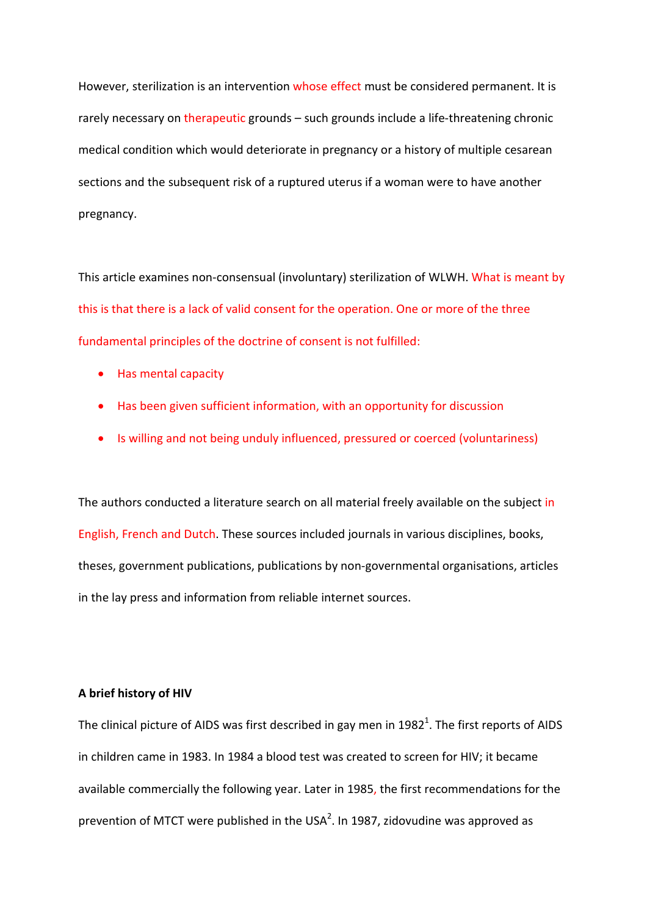However, sterilization is an intervention whose effect must be considered permanent. It is rarely necessary on therapeutic grounds – such grounds include a life-threatening chronic medical condition which would deteriorate in pregnancy or a history of multiple cesarean sections and the subsequent risk of a ruptured uterus if a woman were to have another pregnancy.

This article examines non-consensual (involuntary) sterilization of WLWH. What is meant by this is that there is a lack of valid consent for the operation. One or more of the three fundamental principles of the doctrine of consent is not fulfilled:

- Has mental capacity
- Has been given sufficient information, with an opportunity for discussion
- Is willing and not being unduly influenced, pressured or coerced (voluntariness)

The authors conducted a literature search on all material freely available on the subject in English, French and Dutch. These sources included journals in various disciplines, books, theses, government publications, publications by non-governmental organisations, articles in the lay press and information from reliable internet sources.

#### **A brief history of HIV**

The clinical picture of AIDS was first described in gay men in 1982<sup>1</sup>. The first reports of AIDS in children came in 1983. In 1984 a blood test was created to screen for HIV; it became available commercially the following year. Later in 1985, the first recommendations for the prevention of MTCT were published in the USA<sup>2</sup>. In 1987, zidovudine was approved as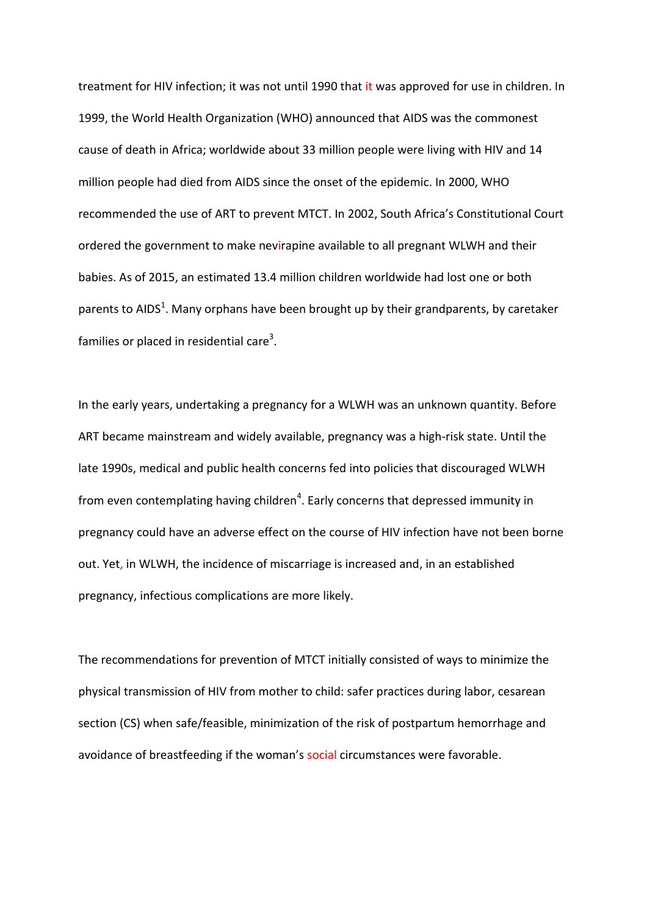treatment for HIV infection; it was not until 1990 that it was approved for use in children. In 1999, the World Health Organization (WHO) announced that AIDS was the commonest cause of death in Africa; worldwide about 33 million people were living with HIV and 14 million people had died from AIDS since the onset of the epidemic. In 2000, WHO recommended the use of ART to prevent MTCT. In 2002, South Africa's Constitutional Court ordered the government to make nevirapine available to all pregnant WLWH and their babies. As of 2015, an estimated 13.4 million children worldwide had lost one or both parents to AIDS<sup>1</sup>. Many orphans have been brought up by their grandparents, by caretaker families or placed in residential care<sup>3</sup>.

In the early years, undertaking a pregnancy for a WLWH was an unknown quantity. Before ART became mainstream and widely available, pregnancy was a high-risk state. Until the late 1990s, medical and public health concerns fed into policies that discouraged WLWH from even contemplating having children<sup>4</sup>. Early concerns that depressed immunity in pregnancy could have an adverse effect on the course of HIV infection have not been borne out. Yet, in WLWH, the incidence of miscarriage is increased and, in an established pregnancy, infectious complications are more likely.

The recommendations for prevention of MTCT initially consisted of ways to minimize the physical transmission of HIV from mother to child: safer practices during labor, cesarean section (CS) when safe/feasible, minimization of the risk of postpartum hemorrhage and avoidance of breastfeeding if the woman's social circumstances were favorable.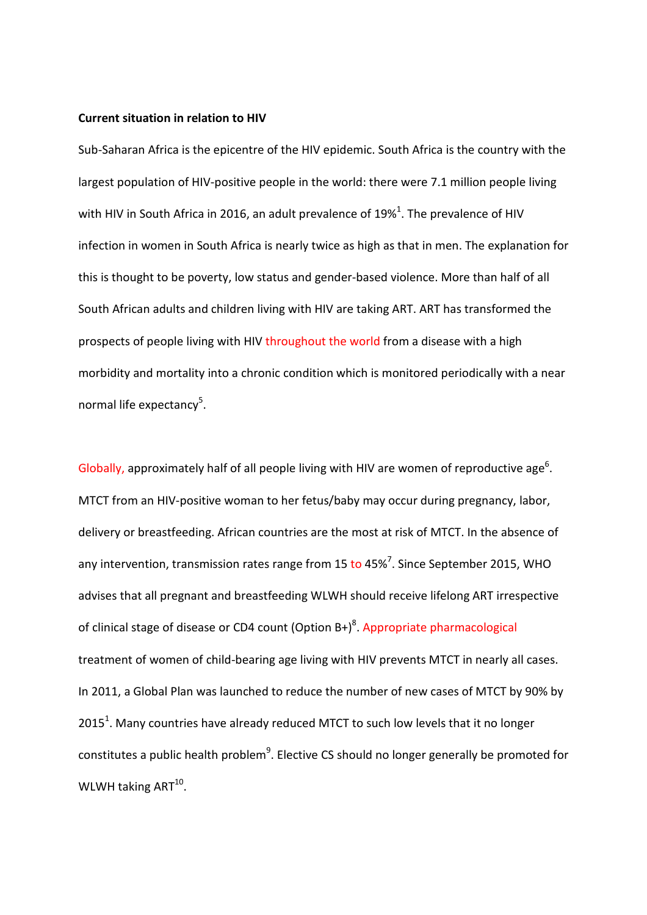#### **Current situation in relation to HIV**

Sub-Saharan Africa is the epicentre of the HIV epidemic. South Africa is the country with the largest population of HIV-positive people in the world: there were 7.1 million people living with HIV in South Africa in 2016, an adult prevalence of 19%<sup>1</sup>. The prevalence of HIV infection in women in South Africa is nearly twice as high as that in men. The explanation for this is thought to be poverty, low status and gender-based violence. More than half of all South African adults and children living with HIV are taking ART. ART has transformed the prospects of people living with HIV throughout the world from a disease with a high morbidity and mortality into a chronic condition which is monitored periodically with a near normal life expectancy<sup>5</sup>.

Globally, approximately half of all people living with HIV are women of reproductive age<sup>6</sup>. MTCT from an HIV-positive woman to her fetus/baby may occur during pregnancy, labor, delivery or breastfeeding. African countries are the most at risk of MTCT. In the absence of any intervention, transmission rates range from 15 to 45%<sup>7</sup>. Since September 2015, WHO advises that all pregnant and breastfeeding WLWH should receive lifelong ART irrespective of clinical stage of disease or CD4 count (Option B+)<sup>8</sup>. Appropriate pharmacological treatment of women of child-bearing age living with HIV prevents MTCT in nearly all cases. In 2011, a Global Plan was launched to reduce the number of new cases of MTCT by 90% by 2015<sup>1</sup>. Many countries have already reduced MTCT to such low levels that it no longer constitutes a public health problem $^9$ . Elective CS should no longer generally be promoted for WLWH taking  $ART^{10}$ .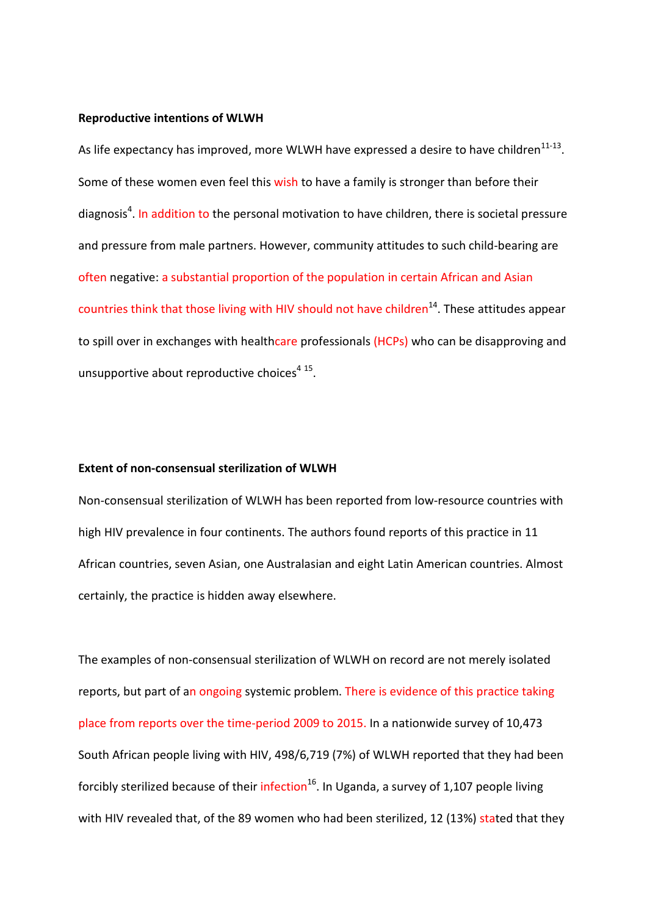#### **Reproductive intentions of WLWH**

As life expectancy has improved, more WLWH have expressed a desire to have children $11-13$ . Some of these women even feel this wish to have a family is stronger than before their diagnosis<sup>4</sup>. In addition to the personal motivation to have children, there is societal pressure and pressure from male partners. However, community attitudes to such child-bearing are often negative: a substantial proportion of the population in certain African and Asian countries think that those living with HIV should not have children<sup>14</sup>. These attitudes appear to spill over in exchanges with healthcare professionals (HCPs) who can be disapproving and unsupportive about reproductive choices<sup>4 15</sup>.

#### **Extent of non-consensual sterilization of WLWH**

Non-consensual sterilization of WLWH has been reported from low-resource countries with high HIV prevalence in four continents. The authors found reports of this practice in 11 African countries, seven Asian, one Australasian and eight Latin American countries. Almost certainly, the practice is hidden away elsewhere.

The examples of non-consensual sterilization of WLWH on record are not merely isolated reports, but part of an ongoing systemic problem. There is evidence of this practice taking place from reports over the time-period 2009 to 2015. In a nationwide survey of 10,473 South African people living with HIV, 498/6,719 (7%) of WLWH reported that they had been forcibly sterilized because of their infection<sup>16</sup>. In Uganda, a survey of 1,107 people living with HIV revealed that, of the 89 women who had been sterilized, 12 (13%) stated that they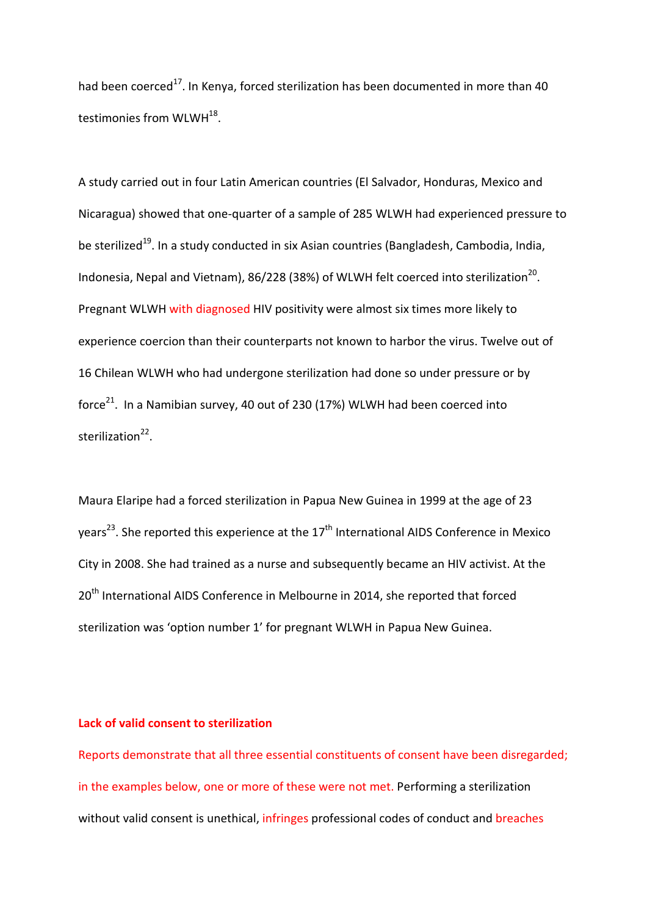had been coerced<sup>17</sup>. In Kenya, forced sterilization has been documented in more than 40 testimonies from WLWH<sup>18</sup>.

A study carried out in four Latin American countries (El Salvador, Honduras, Mexico and Nicaragua) showed that one-quarter of a sample of 285 WLWH had experienced pressure to be sterilized<sup>19</sup>. In a study conducted in six Asian countries (Bangladesh, Cambodia, India, Indonesia, Nepal and Vietnam), 86/228 (38%) of WLWH felt coerced into sterilization<sup>20</sup>. Pregnant WLWH with diagnosed HIV positivity were almost six times more likely to experience coercion than their counterparts not known to harbor the virus. Twelve out of 16 Chilean WLWH who had undergone sterilization had done so under pressure or by force $^{21}$ . In a Namibian survey, 40 out of 230 (17%) WLWH had been coerced into sterilization $^{22}$ .

Maura Elaripe had a forced sterilization in Papua New Guinea in 1999 at the age of 23 years<sup>23</sup>. She reported this experience at the  $17<sup>th</sup>$  International AIDS Conference in Mexico City in 2008. She had trained as a nurse and subsequently became an HIV activist. At the 20<sup>th</sup> International AIDS Conference in Melbourne in 2014, she reported that forced sterilization was 'option number 1' for pregnant WLWH in Papua New Guinea.

## **Lack of valid consent to sterilization**

Reports demonstrate that all three essential constituents of consent have been disregarded; in the examples below, one or more of these were not met. Performing a sterilization without valid consent is unethical, infringes professional codes of conduct and breaches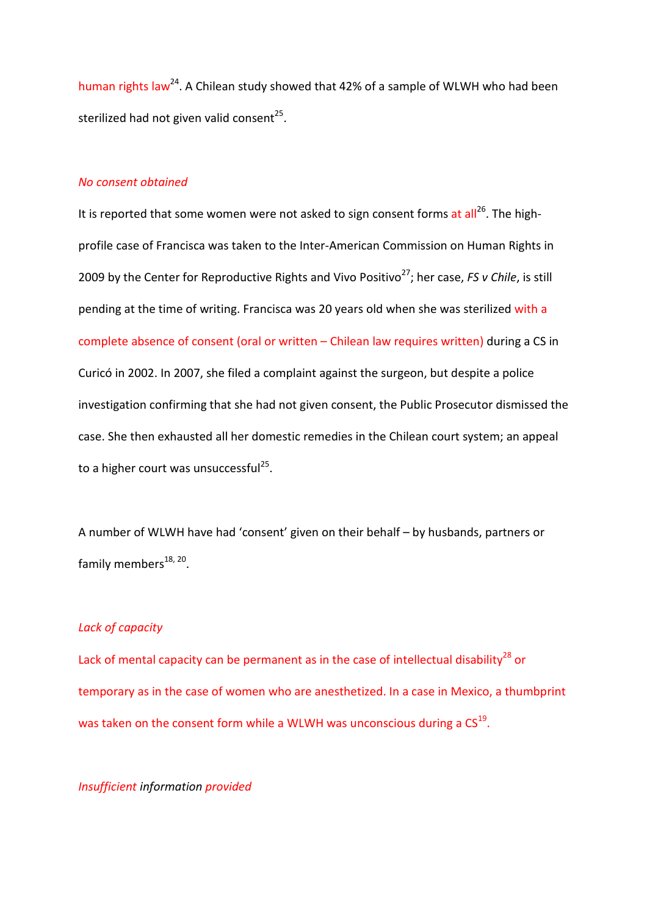human rights law<sup>24</sup>. A Chilean study showed that 42% of a sample of WLWH who had been sterilized had not given valid consent<sup>25</sup>.

#### *No consent obtained*

It is reported that some women were not asked to sign consent forms at all<sup>26</sup>. The highprofile case of Francisca was taken to the Inter-American Commission on Human Rights in 2009 by the Center for Reproductive Rights and Vivo Positivo<sup>27</sup>; her case, *FS v Chile*, is still pending at the time of writing. Francisca was 20 years old when she was sterilized with a complete absence of consent (oral or written – Chilean law requires written) during a CS in Curicó in 2002. In 2007, she filed a complaint against the surgeon, but despite a police investigation confirming that she had not given consent, the Public Prosecutor dismissed the case. She then exhausted all her domestic remedies in the Chilean court system; an appeal to a higher court was unsuccessful<sup>25</sup>.

A number of WLWH have had 'consent' given on their behalf – by husbands, partners or family members $^{18, 20}$ .

## *Lack of capacity*

Lack of mental capacity can be permanent as in the case of intellectual disability<sup>28</sup> or temporary as in the case of women who are anesthetized. In a case in Mexico, a thumbprint was taken on the consent form while a WLWH was unconscious during a  $CS<sup>19</sup>$ .

## *Insufficient information provided*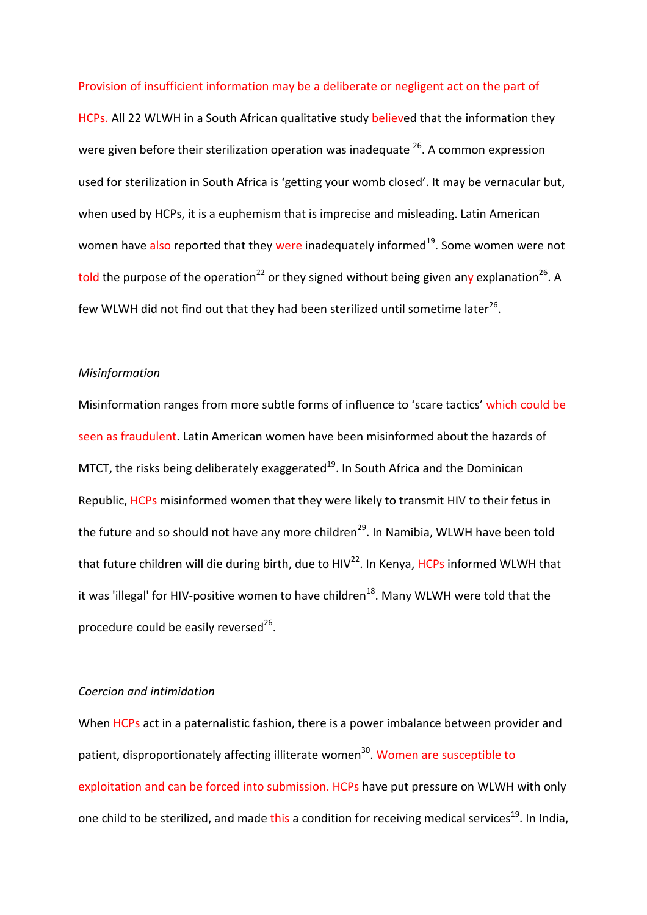#### Provision of insufficient information may be a deliberate or negligent act on the part of

HCPs. All 22 WLWH in a South African qualitative study believed that the information they were given before their sterilization operation was inadequate  $26$ . A common expression used for sterilization in South Africa is 'getting your womb closed'. It may be vernacular but, when used by HCPs, it is a euphemism that is imprecise and misleading. Latin American women have also reported that they were inadequately informed<sup>19</sup>. Some women were not told the purpose of the operation<sup>22</sup> or they signed without being given any explanation<sup>26</sup>. A few WLWH did not find out that they had been sterilized until sometime later<sup>26</sup>.

### *Misinformation*

Misinformation ranges from more subtle forms of influence to 'scare tactics' which could be seen as fraudulent. Latin American women have been misinformed about the hazards of MTCT, the risks being deliberately exaggerated $19$ . In South Africa and the Dominican Republic, HCPs misinformed women that they were likely to transmit HIV to their fetus in the future and so should not have any more children<sup>29</sup>. In Namibia, WLWH have been told that future children will die during birth, due to HIV<sup>22</sup>. In Kenya, HCPs informed WLWH that it was 'illegal' for HIV-positive women to have children<sup>18</sup>. Many WLWH were told that the procedure could be easily reversed $^{26}$ .

#### *Coercion and intimidation*

When HCPs act in a paternalistic fashion, there is a power imbalance between provider and patient, disproportionately affecting illiterate women<sup>30</sup>. Women are susceptible to exploitation and can be forced into submission. HCPs have put pressure on WLWH with only one child to be sterilized, and made this a condition for receiving medical services<sup>19</sup>. In India,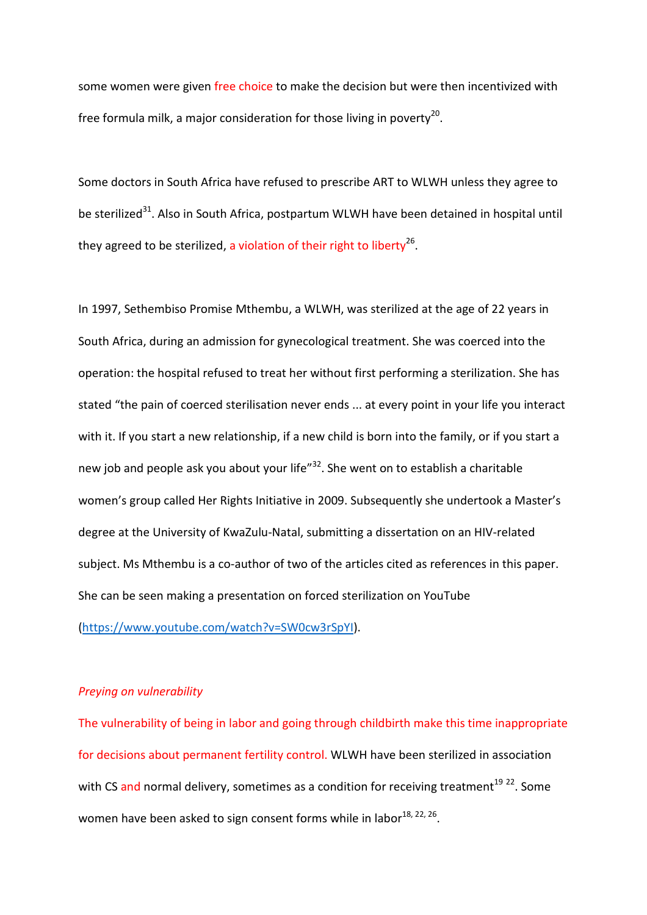some women were given free choice to make the decision but were then incentivized with free formula milk, a major consideration for those living in poverty<sup>20</sup>.

Some doctors in South Africa have refused to prescribe ART to WLWH unless they agree to be sterilized<sup>31</sup>. Also in South Africa, postpartum WLWH have been detained in hospital until they agreed to be sterilized, a violation of their right to liberty<sup>26</sup>.

In 1997, Sethembiso Promise Mthembu, a WLWH, was sterilized at the age of 22 years in South Africa, during an admission for gynecological treatment. She was coerced into the operation: the hospital refused to treat her without first performing a sterilization. She has stated "the pain of coerced sterilisation never ends ... at every point in your life you interact with it. If you start a new relationship, if a new child is born into the family, or if you start a new job and people ask you about your life<sup>"32</sup>. She went on to establish a charitable women's group called Her Rights Initiative in 2009. Subsequently she undertook a Master's degree at the University of KwaZulu-Natal, submitting a dissertation on an HIV-related subject. Ms Mthembu is a co-author of two of the articles cited as references in this paper. She can be seen making a presentation on forced sterilization on YouTube

[\(https://www.youtube.com/watch?v=SW0cw3rSpYI\)](https://www.youtube.com/watch?v=SW0cw3rSpYI).

### *Preying on vulnerability*

The vulnerability of being in labor and going through childbirth make this time inappropriate for decisions about permanent fertility control. WLWH have been sterilized in association with CS and normal delivery, sometimes as a condition for receiving treatment<sup>19 22</sup>. Some women have been asked to sign consent forms while in labor $^{18, 22, 26}$ .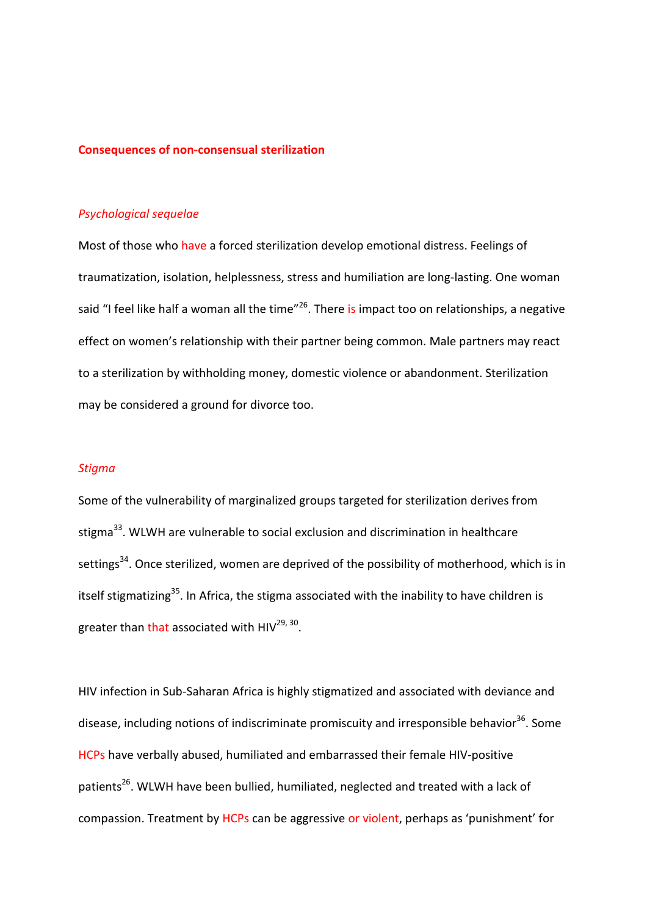#### **Consequences of non-consensual sterilization**

#### *Psychological sequelae*

Most of those who have a forced sterilization develop emotional distress. Feelings of traumatization, isolation, helplessness, stress and humiliation are long-lasting. One woman said "I feel like half a woman all the time"<sup>26</sup>. There is impact too on relationships, a negative effect on women's relationship with their partner being common. Male partners may react to a sterilization by withholding money, domestic violence or abandonment. Sterilization may be considered a ground for divorce too.

## *Stigma*

Some of the vulnerability of marginalized groups targeted for sterilization derives from stigma<sup>33</sup>. WLWH are vulnerable to social exclusion and discrimination in healthcare settings<sup>34</sup>. Once sterilized, women are deprived of the possibility of motherhood, which is in itself stigmatizing<sup>35</sup>. In Africa, the stigma associated with the inability to have children is greater than that associated with  $HIV^{29, 30}$ .

HIV infection in Sub-Saharan Africa is highly stigmatized and associated with deviance and disease, including notions of indiscriminate promiscuity and irresponsible behavior<sup>36</sup>. Some HCPs have verbally abused, humiliated and embarrassed their female HIV-positive patients<sup>26</sup>. WLWH have been bullied, humiliated, neglected and treated with a lack of compassion. Treatment by HCPs can be aggressive or violent, perhaps as 'punishment' for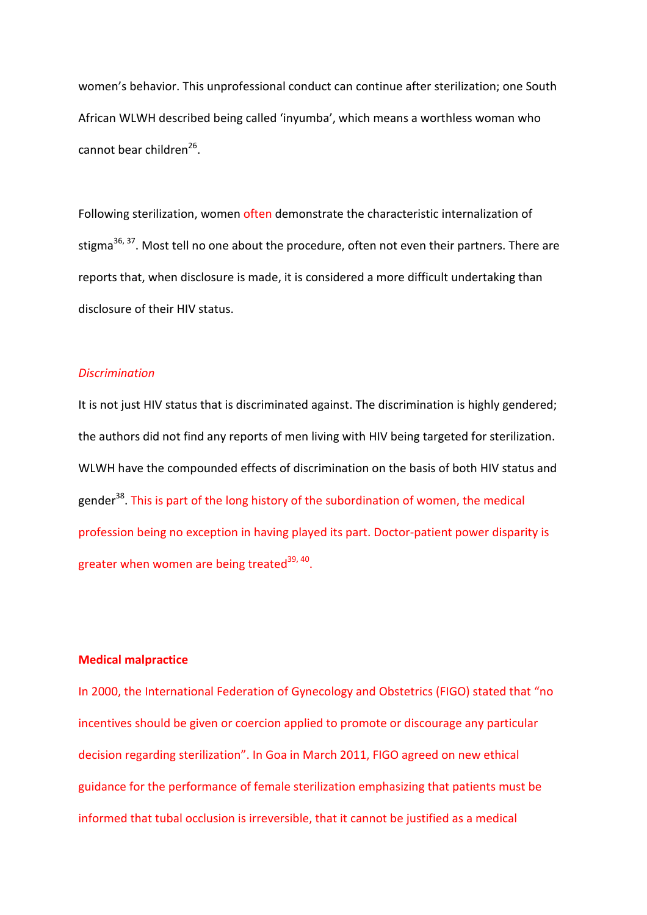women's behavior. This unprofessional conduct can continue after sterilization; one South African WLWH described being called 'inyumba', which means a worthless woman who cannot bear children $^{26}$ .

Following sterilization, women often demonstrate the characteristic internalization of stigma<sup>36, 37</sup>. Most tell no one about the procedure, often not even their partners. There are reports that, when disclosure is made, it is considered a more difficult undertaking than disclosure of their HIV status.

## *Discrimination*

It is not just HIV status that is discriminated against. The discrimination is highly gendered; the authors did not find any reports of men living with HIV being targeted for sterilization. WLWH have the compounded effects of discrimination on the basis of both HIV status and gender<sup>38</sup>. This is part of the long history of the subordination of women, the medical profession being no exception in having played its part. Doctor-patient power disparity is greater when women are being treated $39, 40$ .

## **Medical malpractice**

In 2000, the International Federation of Gynecology and Obstetrics (FIGO) stated that "no incentives should be given or coercion applied to promote or discourage any particular decision regarding sterilization". In Goa in March 2011, FIGO agreed on new ethical guidance for the performance of female sterilization emphasizing that patients must be informed that tubal occlusion is irreversible, that it cannot be justified as a medical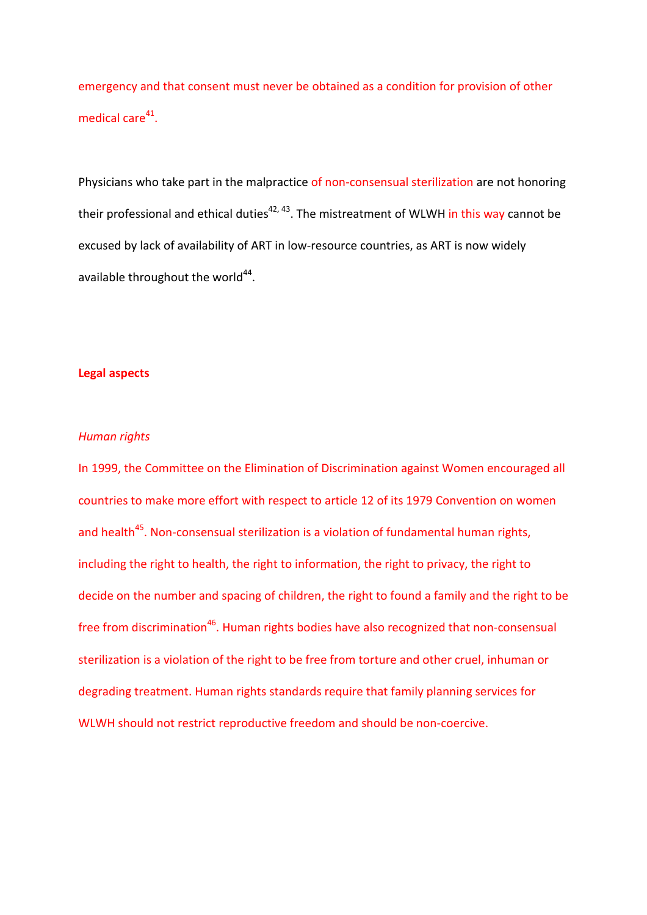emergency and that consent must never be obtained as a condition for provision of other medical care $41$ .

Physicians who take part in the malpractice of non-consensual sterilization are not honoring their professional and ethical duties<sup>42, 43</sup>. The mistreatment of WLWH in this way cannot be excused by lack of availability of ART in low-resource countries, as ART is now widely available throughout the world $44$ .

## **Legal aspects**

## *Human rights*

In 1999, the Committee on the Elimination of Discrimination against Women encouraged all countries to make more effort with respect to article 12 of its 1979 Convention on women and health<sup>45</sup>. Non-consensual sterilization is a violation of fundamental human rights, including the right to health, the right to information, the right to privacy, the right to decide on the number and spacing of children, the right to found a family and the right to be free from discrimination<sup>46</sup>. Human rights bodies have also recognized that non-consensual sterilization is a violation of the right to be free from torture and other cruel, inhuman or degrading treatment. Human rights standards require that family planning services for WLWH should not restrict reproductive freedom and should be non-coercive.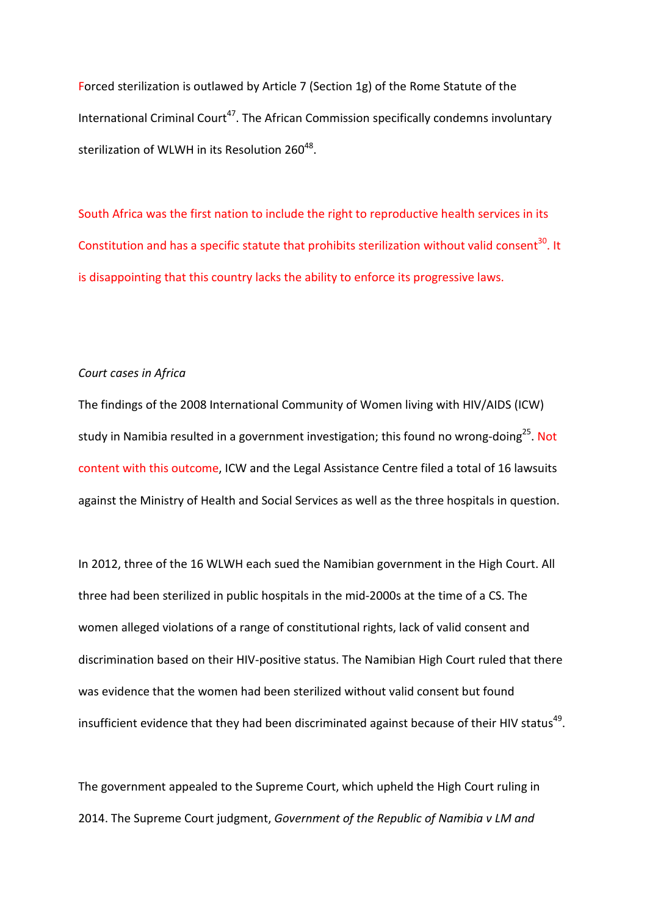Forced sterilization is outlawed by Article 7 (Section 1g) of the Rome Statute of the International Criminal Court<sup>47</sup>. The African Commission specifically condemns involuntary sterilization of WLWH in its Resolution  $260^{48}$ .

South Africa was the first nation to include the right to reproductive health services in its Constitution and has a specific statute that prohibits sterilization without valid consent<sup>30</sup>. It is disappointing that this country lacks the ability to enforce its progressive laws.

## *Court cases in Africa*

The findings of the 2008 International Community of Women living with HIV/AIDS (ICW) study in Namibia resulted in a government investigation; this found no wrong-doing<sup>25</sup>. Not content with this outcome, ICW and the Legal Assistance Centre filed a total of 16 lawsuits against the Ministry of Health and Social Services as well as the three hospitals in question.

In 2012, three of the 16 WLWH each sued the Namibian government in the High Court. All three had been sterilized in public hospitals in the mid-2000s at the time of a CS. The women alleged violations of a range of constitutional rights, lack of valid consent and discrimination based on their HIV-positive status. The Namibian High Court ruled that there was evidence that the women had been sterilized without valid consent but found insufficient evidence that they had been discriminated against because of their HIV status<sup>49</sup>.

The government appealed to the Supreme Court, which upheld the High Court ruling in 2014. The Supreme Court judgment, *Government of the Republic of Namibia v LM and*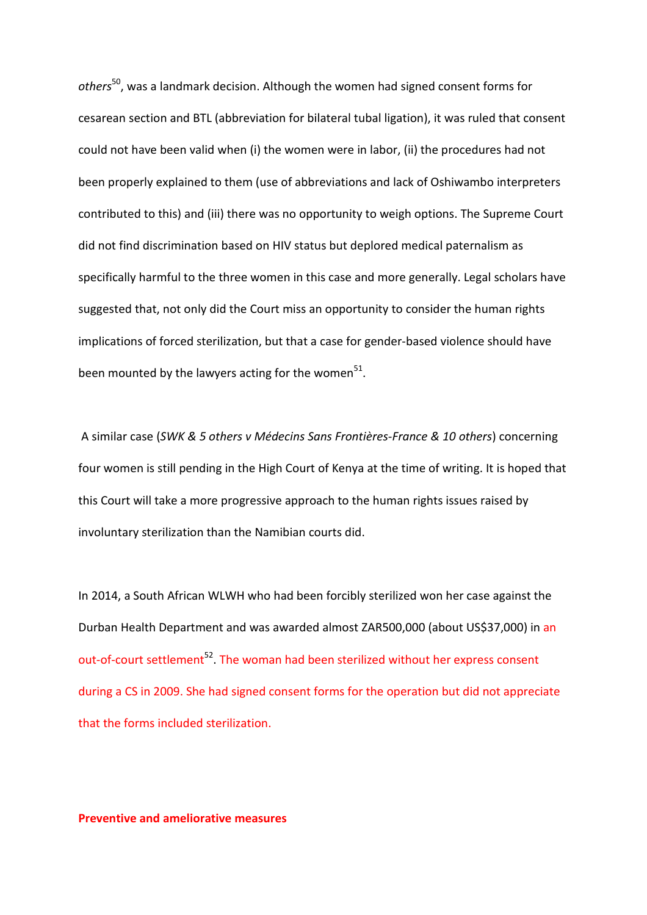*others*50, was a landmark decision. Although the women had signed consent forms for cesarean section and BTL (abbreviation for bilateral tubal ligation), it was ruled that consent could not have been valid when (i) the women were in labor, (ii) the procedures had not been properly explained to them (use of abbreviations and lack of Oshiwambo interpreters contributed to this) and (iii) there was no opportunity to weigh options. The Supreme Court did not find discrimination based on HIV status but deplored medical paternalism as specifically harmful to the three women in this case and more generally. Legal scholars have suggested that, not only did the Court miss an opportunity to consider the human rights implications of forced sterilization, but that a case for gender-based violence should have been mounted by the lawyers acting for the women $51$ .

A similar case (*SWK & 5 others v Médecins Sans Frontières-France & 10 others*) concerning four women is still pending in the High Court of Kenya at the time of writing. It is hoped that this Court will take a more progressive approach to the human rights issues raised by involuntary sterilization than the Namibian courts did.

In 2014, a South African WLWH who had been forcibly sterilized won her case against the Durban Health Department and was awarded almost ZAR500,000 (about US\$37,000) in an out-of-court settlement<sup>52</sup>. The woman had been sterilized without her express consent during a CS in 2009. She had signed consent forms for the operation but did not appreciate that the forms included sterilization.

**Preventive and ameliorative measures**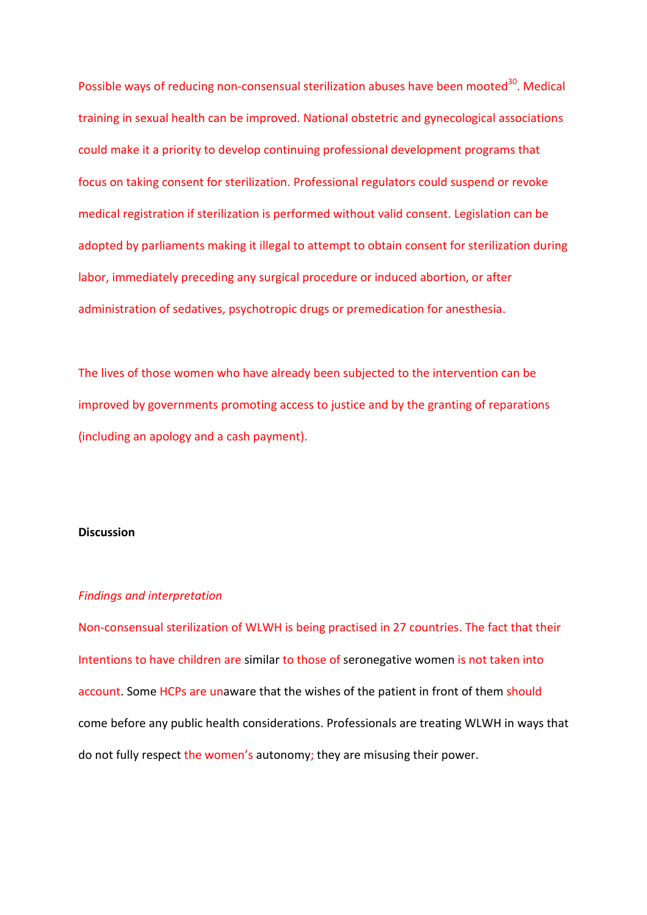Possible ways of reducing non-consensual sterilization abuses have been mooted<sup>30</sup>. Medical training in sexual health can be improved. National obstetric and gynecological associations could make it a priority to develop continuing professional development programs that focus on taking consent for sterilization. Professional regulators could suspend or revoke medical registration if sterilization is performed without valid consent. Legislation can be adopted by parliaments making it illegal to attempt to obtain consent for sterilization during labor, immediately preceding any surgical procedure or induced abortion, or after administration of sedatives, psychotropic drugs or premedication for anesthesia.

The lives of those women who have already been subjected to the intervention can be improved by governments promoting access to justice and by the granting of reparations (including an apology and a cash payment).

### **Discussion**

#### *Findings and interpretation*

Non-consensual sterilization of WLWH is being practised in 27 countries. The fact that their Intentions to have children are similar to those of seronegative women is not taken into account. Some HCPs are unaware that the wishes of the patient in front of them should come before any public health considerations. Professionals are treating WLWH in ways that do not fully respect the women's autonomy; they are misusing their power.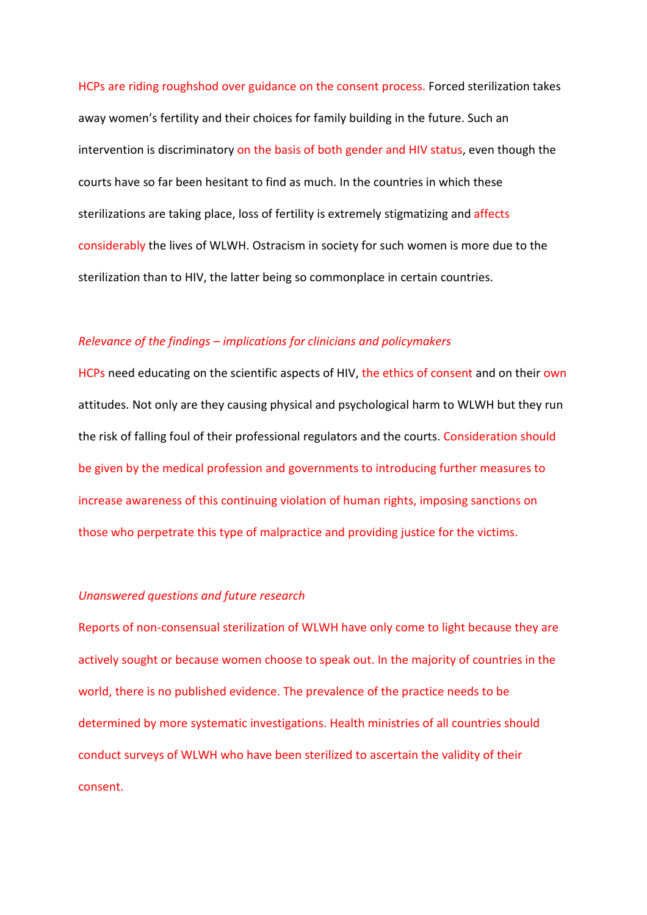HCPs are riding roughshod over guidance on the consent process. Forced sterilization takes away women's fertility and their choices for family building in the future. Such an intervention is discriminatory on the basis of both gender and HIV status, even though the courts have so far been hesitant to find as much. In the countries in which these sterilizations are taking place, loss of fertility is extremely stigmatizing and affects considerably the lives of WLWH. Ostracism in society for such women is more due to the sterilization than to HIV, the latter being so commonplace in certain countries.

## *Relevance of the findings – implications for clinicians and policymakers*

HCPs need educating on the scientific aspects of HIV, the ethics of consent and on their own attitudes. Not only are they causing physical and psychological harm to WLWH but they run the risk of falling foul of their professional regulators and the courts. Consideration should be given by the medical profession and governments to introducing further measures to increase awareness of this continuing violation of human rights, imposing sanctions on those who perpetrate this type of malpractice and providing justice for the victims.

## *Unanswered questions and future research*

Reports of non-consensual sterilization of WLWH have only come to light because they are actively sought or because women choose to speak out. In the majority of countries in the world, there is no published evidence. The prevalence of the practice needs to be determined by more systematic investigations. Health ministries of all countries should conduct surveys of WLWH who have been sterilized to ascertain the validity of their consent.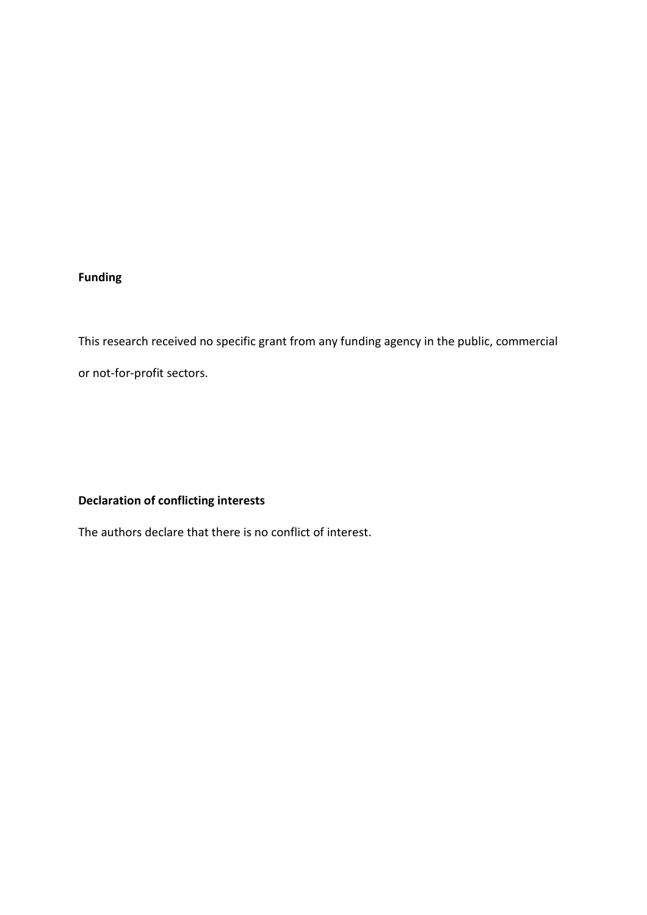## **Funding**

This research received no specific grant from any funding agency in the public, commercial or not-for-profit sectors.

## **Declaration of conflicting interests**

The authors declare that there is no conflict of interest.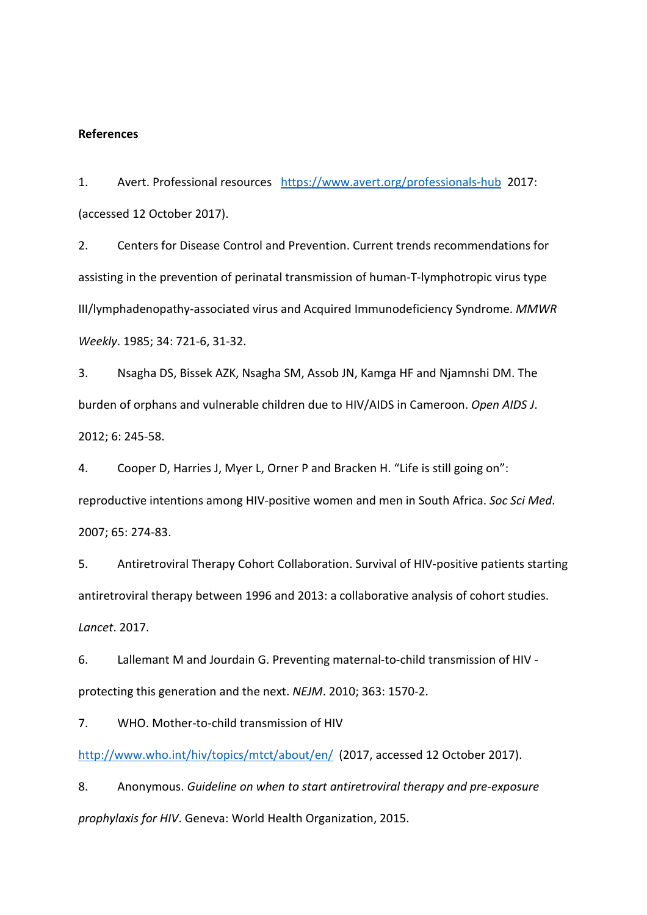#### **References**

1. Avert. Professional resources <https://www.avert.org/professionals-hub>2017: (accessed 12 October 2017).

2. Centers for Disease Control and Prevention. Current trends recommendations for assisting in the prevention of perinatal transmission of human-T-lymphotropic virus type III/lymphadenopathy-associated virus and Acquired Immunodeficiency Syndrome. *MMWR Weekly*. 1985; 34: 721-6, 31-32.

3. Nsagha DS, Bissek AZK, Nsagha SM, Assob JN, Kamga HF and Njamnshi DM. The burden of orphans and vulnerable children due to HIV/AIDS in Cameroon. *Open AIDS J*. 2012; 6: 245-58.

4. Cooper D, Harries J, Myer L, Orner P and Bracken H. "Life is still going on": reproductive intentions among HIV-positive women and men in South Africa. *Soc Sci Med*. 2007; 65: 274-83.

5. Antiretroviral Therapy Cohort Collaboration. Survival of HIV-positive patients starting antiretroviral therapy between 1996 and 2013: a collaborative analysis of cohort studies. *Lancet*. 2017.

6. Lallemant M and Jourdain G. Preventing maternal-to-child transmission of HIV protecting this generation and the next. *NEJM*. 2010; 363: 1570-2.

7. WHO. Mother-to-child transmission of HIV

<http://www.who.int/hiv/topics/mtct/about/en/>(2017, accessed 12 October 2017).

8. Anonymous. *Guideline on when to start antiretroviral therapy and pre-exposure prophylaxis for HIV*. Geneva: World Health Organization, 2015.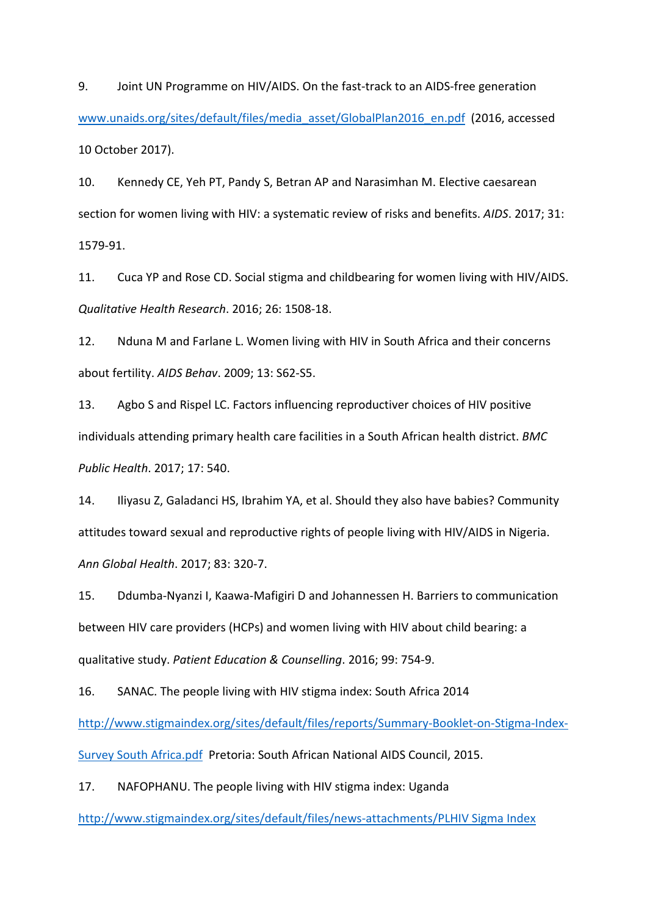9. Joint UN Programme on HIV/AIDS. On the fast-track to an AIDS-free generation www.unaids.org/sites/default/files/media\_asset/GlobalPlan2016\_en.pdf (2016, accessed 10 October 2017).

10. Kennedy CE, Yeh PT, Pandy S, Betran AP and Narasimhan M. Elective caesarean section for women living with HIV: a systematic review of risks and benefits. *AIDS*. 2017; 31: 1579-91.

11. Cuca YP and Rose CD. Social stigma and childbearing for women living with HIV/AIDS. *Qualitative Health Research*. 2016; 26: 1508-18.

12. Nduna M and Farlane L. Women living with HIV in South Africa and their concerns about fertility. *AIDS Behav*. 2009; 13: S62-S5.

13. Agbo S and Rispel LC. Factors influencing reproductiver choices of HIV positive individuals attending primary health care facilities in a South African health district. *BMC Public Health*. 2017; 17: 540.

14. Iliyasu Z, Galadanci HS, Ibrahim YA, et al. Should they also have babies? Community attitudes toward sexual and reproductive rights of people living with HIV/AIDS in Nigeria. *Ann Global Health*. 2017; 83: 320-7.

15. Ddumba-Nyanzi I, Kaawa-Mafigiri D and Johannessen H. Barriers to communication between HIV care providers (HCPs) and women living with HIV about child bearing: a qualitative study. *Patient Education & Counselling*. 2016; 99: 754-9.

16. SANAC. The people living with HIV stigma index: South Africa 2014 [http://www.stigmaindex.org/sites/default/files/reports/Summary-Booklet-on-Stigma-Index-](http://www.stigmaindex.org/sites/default/files/reports/Summary-Booklet-on-Stigma-Index-Survey%20South%20Africa.pdf)[Survey South Africa.pdf](http://www.stigmaindex.org/sites/default/files/reports/Summary-Booklet-on-Stigma-Index-Survey%20South%20Africa.pdf) Pretoria: South African National AIDS Council, 2015.

17. NAFOPHANU. The people living with HIV stigma index: Uganda

[http://www.stigmaindex.org/sites/default/files/news-attachments/PLHIV Sigma Index](http://www.stigmaindex.org/sites/default/files/news-attachments/PLHIV%20Sigma%20Index%20Report%20-%20Uganda%20Country%20Assessment%202013.pdf)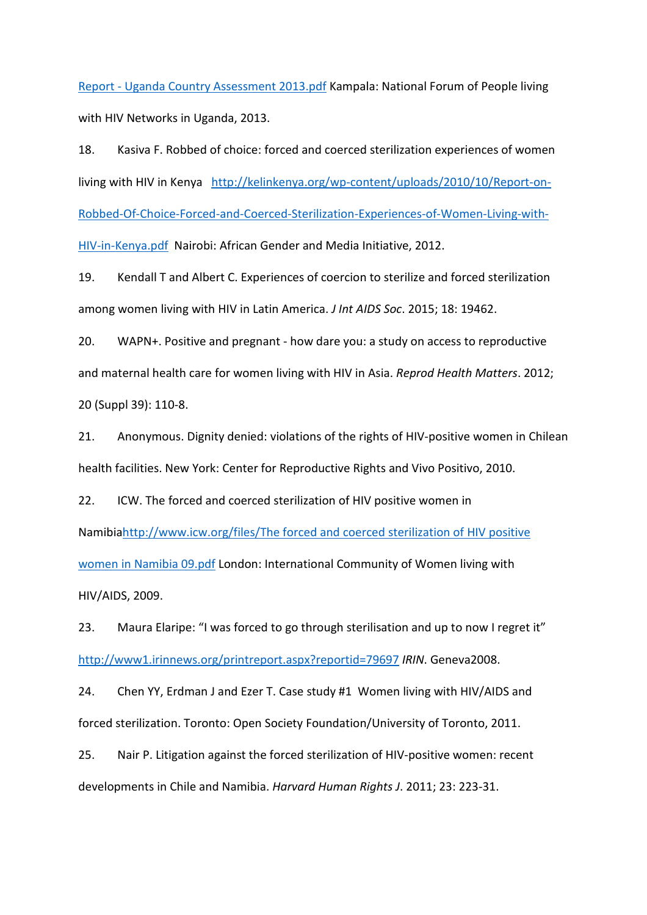Report - [Uganda Country Assessment 2013.pdf](http://www.stigmaindex.org/sites/default/files/news-attachments/PLHIV%20Sigma%20Index%20Report%20-%20Uganda%20Country%20Assessment%202013.pdf) Kampala: National Forum of People living with HIV Networks in Uganda, 2013.

18. Kasiva F. Robbed of choice: forced and coerced sterilization experiences of women living with HIV in Kenya [http://kelinkenya.org/wp-content/uploads/2010/10/Report-on-](http://kelinkenya.org/wp-content/uploads/2010/10/Report-on-Robbed-Of-Choice-Forced-and-Coerced-Sterilization-Experiences-of-Women-Living-with-HIV-in-Kenya.pdf)[Robbed-Of-Choice-Forced-and-Coerced-Sterilization-Experiences-of-Women-Living-with-](http://kelinkenya.org/wp-content/uploads/2010/10/Report-on-Robbed-Of-Choice-Forced-and-Coerced-Sterilization-Experiences-of-Women-Living-with-HIV-in-Kenya.pdf)[HIV-in-Kenya.pdf](http://kelinkenya.org/wp-content/uploads/2010/10/Report-on-Robbed-Of-Choice-Forced-and-Coerced-Sterilization-Experiences-of-Women-Living-with-HIV-in-Kenya.pdf) Nairobi: African Gender and Media Initiative, 2012.

19. Kendall T and Albert C. Experiences of coercion to sterilize and forced sterilization among women living with HIV in Latin America. *J Int AIDS Soc*. 2015; 18: 19462.

20. WAPN+. Positive and pregnant - how dare you: a study on access to reproductive and maternal health care for women living with HIV in Asia. *Reprod Health Matters*. 2012; 20 (Suppl 39): 110-8.

21. Anonymous. Dignity denied: violations of the rights of HIV-positive women in Chilean health facilities. New York: Center for Reproductive Rights and Vivo Positivo, 2010.

22. ICW. The forced and coerced sterilization of HIV positive women in Namibi[ahttp://www.icw.org/files/The forced and coerced sterilization of HIV positive](http://www.icw.org/files/The%20forced%20and%20coerced%20sterilization%20of%20HIV%20positive%20women%20in%20Namibia%2009.pdf)  [women in Namibia 09.pdf](http://www.icw.org/files/The%20forced%20and%20coerced%20sterilization%20of%20HIV%20positive%20women%20in%20Namibia%2009.pdf) London: International Community of Women living with HIV/AIDS, 2009.

23. Maura Elaripe: "I was forced to go through sterilisation and up to now I regret it" <http://www1.irinnews.org/printreport.aspx?reportid=79697> *IRIN*. Geneva2008.

24. Chen YY, Erdman J and Ezer T. Case study #1 Women living with HIV/AIDS and forced sterilization. Toronto: Open Society Foundation/University of Toronto, 2011.

25. Nair P. Litigation against the forced sterilization of HIV-positive women: recent developments in Chile and Namibia. *Harvard Human Rights J*. 2011; 23: 223-31.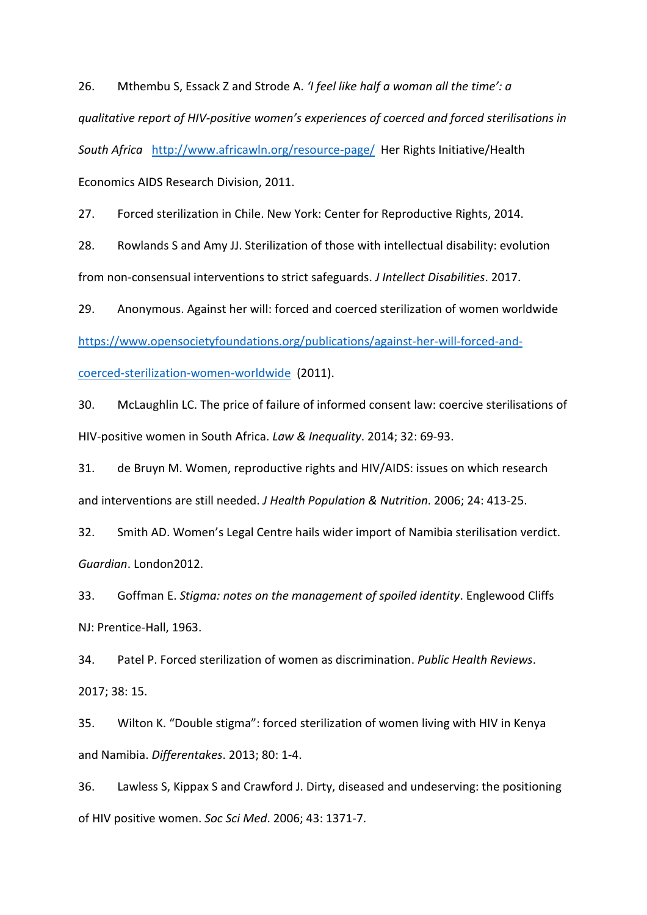26. Mthembu S, Essack Z and Strode A. *'I feel like half a woman all the time': a qualitative report of HIV-positive women's experiences of coerced and forced sterilisations in South Africa* <http://www.africawln.org/resource-page/>Her Rights Initiative/Health Economics AIDS Research Division, 2011.

27. Forced sterilization in Chile. New York: Center for Reproductive Rights, 2014.

28. Rowlands S and Amy JJ. Sterilization of those with intellectual disability: evolution from non-consensual interventions to strict safeguards. *J Intellect Disabilities*. 2017.

29. Anonymous. Against her will: forced and coerced sterilization of women worldwide

[https://www.opensocietyfoundations.org/publications/against-her-will-forced-and-](https://www.opensocietyfoundations.org/publications/against-her-will-forced-and-coerced-sterilization-women-worldwide)

[coerced-sterilization-women-worldwide](https://www.opensocietyfoundations.org/publications/against-her-will-forced-and-coerced-sterilization-women-worldwide) (2011).

30. McLaughlin LC. The price of failure of informed consent law: coercive sterilisations of HIV-positive women in South Africa. *Law & Inequality*. 2014; 32: 69-93.

31. de Bruyn M. Women, reproductive rights and HIV/AIDS: issues on which research and interventions are still needed. *J Health Population & Nutrition*. 2006; 24: 413-25.

32. Smith AD. Women's Legal Centre hails wider import of Namibia sterilisation verdict. *Guardian*. London2012.

33. Goffman E. *Stigma: notes on the management of spoiled identity*. Englewood Cliffs NJ: Prentice-Hall, 1963.

34. Patel P. Forced sterilization of women as discrimination. *Public Health Reviews*. 2017; 38: 15.

35. Wilton K. "Double stigma": forced sterilization of women living with HIV in Kenya and Namibia. *Differentakes*. 2013; 80: 1-4.

36. Lawless S, Kippax S and Crawford J. Dirty, diseased and undeserving: the positioning of HIV positive women. *Soc Sci Med*. 2006; 43: 1371-7.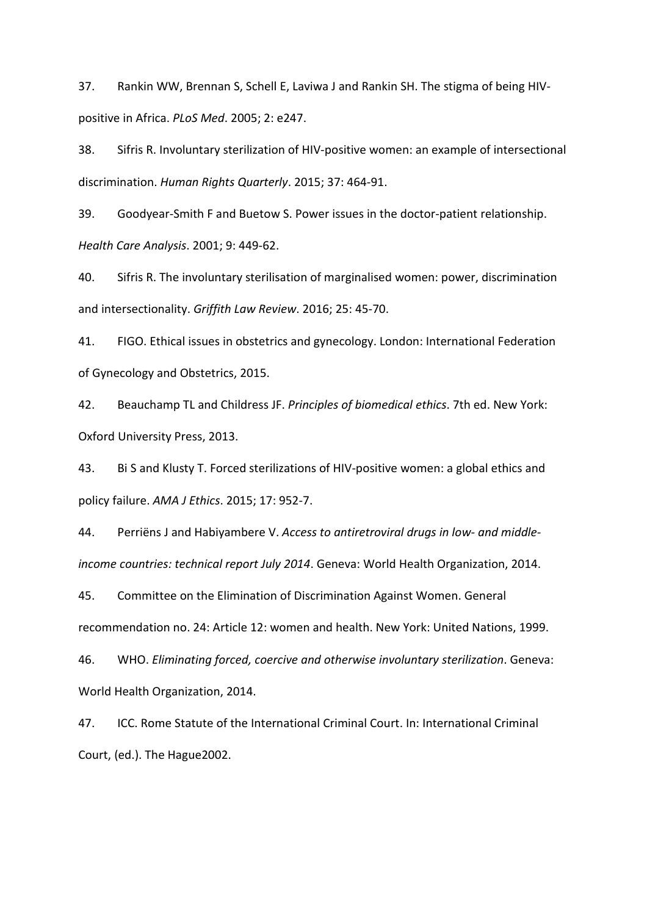37. Rankin WW, Brennan S, Schell E, Laviwa J and Rankin SH. The stigma of being HIVpositive in Africa. *PLoS Med*. 2005; 2: e247.

38. Sifris R. Involuntary sterilization of HIV-positive women: an example of intersectional discrimination. *Human Rights Quarterly*. 2015; 37: 464-91.

39. Goodyear-Smith F and Buetow S. Power issues in the doctor-patient relationship. *Health Care Analysis*. 2001; 9: 449-62.

40. Sifris R. The involuntary sterilisation of marginalised women: power, discrimination and intersectionality. *Griffith Law Review*. 2016; 25: 45-70.

41. FIGO. Ethical issues in obstetrics and gynecology. London: International Federation of Gynecology and Obstetrics, 2015.

42. Beauchamp TL and Childress JF. *Principles of biomedical ethics*. 7th ed. New York: Oxford University Press, 2013.

43. Bi S and Klusty T. Forced sterilizations of HIV-positive women: a global ethics and policy failure. *AMA J Ethics*. 2015; 17: 952-7.

44. Perriëns J and Habiyambere V. *Access to antiretroviral drugs in low- and middleincome countries: technical report July 2014*. Geneva: World Health Organization, 2014.

45. Committee on the Elimination of Discrimination Against Women. General recommendation no. 24: Article 12: women and health. New York: United Nations, 1999.

46. WHO. *Eliminating forced, coercive and otherwise involuntary sterilization*. Geneva: World Health Organization, 2014.

47. ICC. Rome Statute of the International Criminal Court. In: International Criminal Court, (ed.). The Hague2002.